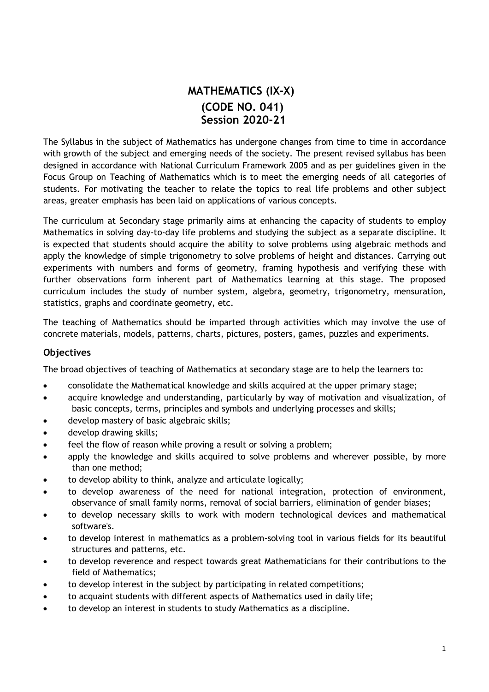# MATHEMATICS (IX-X) (CODE NO. 041) Session 2020-21

The Syllabus in the subject of Mathematics has undergone changes from time to time in accordance with growth of the subject and emerging needs of the society. The present revised syllabus has been designed in accordance with National Curriculum Framework 2005 and as per guidelines given in the Focus Group on Teaching of Mathematics which is to meet the emerging needs of all categories of students. For motivating the teacher to relate the topics to real life problems and other subject areas, greater emphasis has been laid on applications of various concepts.

The curriculum at Secondary stage primarily aims at enhancing the capacity of students to employ Mathematics in solving day-to-day life problems and studying the subject as a separate discipline. It is expected that students should acquire the ability to solve problems using algebraic methods and apply the knowledge of simple trigonometry to solve problems of height and distances. Carrying out experiments with numbers and forms of geometry, framing hypothesis and verifying these with further observations form inherent part of Mathematics learning at this stage. The proposed curriculum includes the study of number system, algebra, geometry, trigonometry, mensuration, statistics, graphs and coordinate geometry, etc.

The teaching of Mathematics should be imparted through activities which may involve the use of concrete materials, models, patterns, charts, pictures, posters, games, puzzles and experiments.

## Objectives

The broad objectives of teaching of Mathematics at secondary stage are to help the learners to:

- consolidate the Mathematical knowledge and skills acquired at the upper primary stage;
- acquire knowledge and understanding, particularly by way of motivation and visualization, of basic concepts, terms, principles and symbols and underlying processes and skills;
- develop mastery of basic algebraic skills;
- develop drawing skills;
- feel the flow of reason while proving a result or solving a problem;
- apply the knowledge and skills acquired to solve problems and wherever possible, by more than one method;
- to develop ability to think, analyze and articulate logically;
- to develop awareness of the need for national integration, protection of environment, observance of small family norms, removal of social barriers, elimination of gender biases;
- to develop necessary skills to work with modern technological devices and mathematical software's.
- to develop interest in mathematics as a problem-solving tool in various fields for its beautiful structures and patterns, etc.
- to develop reverence and respect towards great Mathematicians for their contributions to the field of Mathematics;
- to develop interest in the subject by participating in related competitions;
- to acquaint students with different aspects of Mathematics used in daily life;
- to develop an interest in students to study Mathematics as a discipline.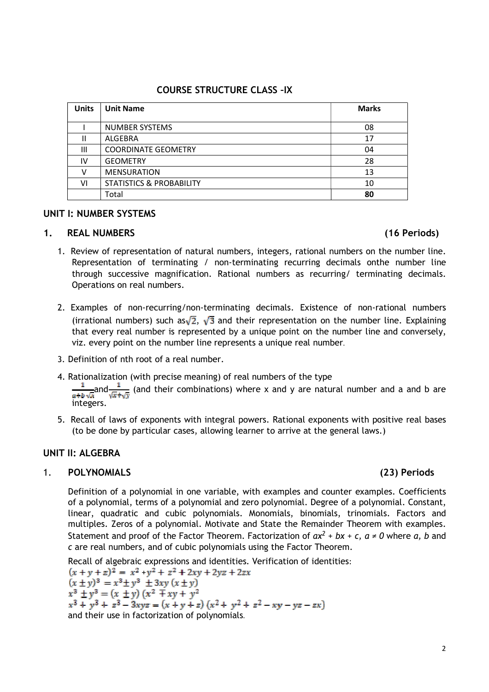# COURSE STRUCTURE CLASS –IX

| <b>Units</b> | <b>Unit Name</b>                    | <b>Marks</b> |
|--------------|-------------------------------------|--------------|
|              |                                     |              |
|              | <b>NUMBER SYSTEMS</b>               | 08           |
| Ш            | ALGEBRA                             | 17           |
| Ш            | <b>COORDINATE GEOMETRY</b>          | 04           |
| IV           | <b>GEOMETRY</b>                     | 28           |
|              | <b>MENSURATION</b>                  | 13           |
| ٧ı           | <b>STATISTICS &amp; PROBABILITY</b> | 10           |
|              | Total                               | 80           |

# UNIT I: NUMBER SYSTEMS

# 1. REAL NUMBERS (16 Periods)

- 1. Review of representation of natural numbers, integers, rational numbers on the number line. Representation of terminating / non-terminating recurring decimals onthe number line through successive magnification. Rational numbers as recurring/ terminating decimals. Operations on real numbers.
- 2. Examples of non-recurring/non-terminating decimals. Existence of non-rational numbers (irrational numbers) such as  $\sqrt{2}$ ,  $\sqrt{3}$  and their representation on the number line. Explaining that every real number is represented by a unique point on the number line and conversely, viz. every point on the number line represents a unique real number.
- 3. Definition of nth root of a real number.
- 4. Rationalization (with precise meaning) of real numbers of the type

and  $\frac{1}{n}$  (and their combinations) where x and y are natural number and a and b are integers.

5. Recall of laws of exponents with integral powers. Rational exponents with positive real bases (to be done by particular cases, allowing learner to arrive at the general laws.)

# UNIT II: ALGEBRA

## 1. POLYNOMIALS (23) Periods

Definition of a polynomial in one variable, with examples and counter examples. Coefficients of a polynomial, terms of a polynomial and zero polynomial. Degree of a polynomial. Constant, linear, quadratic and cubic polynomials. Monomials, binomials, trinomials. Factors and multiples. Zeros of a polynomial. Motivate and State the Remainder Theorem with examples. Statement and proof of the Factor Theorem. Factorization of  $ax^2 + bx + c$ ,  $a \ne 0$  where a, b and c are real numbers, and of cubic polynomials using the Factor Theorem.

Recall of algebraic expressions and identities. Verification of identities:  $(x + y + z)^2 = x^2 + y^2 + z^2 + 2xy + 2yz + 2zx$ <br>  $(x \pm y)^3 = x^3 \pm y^3 \pm 3xy (x \pm y)$ <br>  $x^3 \pm y^3 = (x \pm y) (x^2 \mp xy + y^2)$  $x^3 + y^3 + z^3 - 3xyz = (x + y + z)(x^2 + y^2 + z^2 - xy - yz - zx)$ and their use in factorization of polynomials.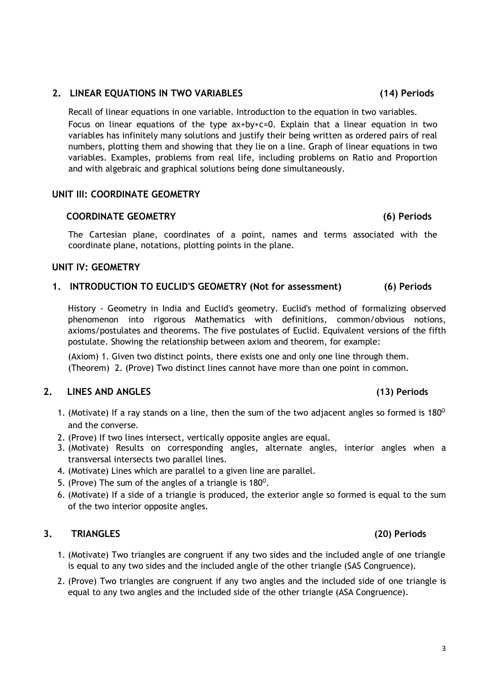## 2. LINEAR EQUATIONS IN TWO VARIABLES (14) Periods

Recall of linear equations in one variable. Introduction to the equation in two variables. Focus on linear equations of the type ax+by+c=0. Explain that a linear equation in two variables has infinitely many solutions and justify their being written as ordered pairs of real numbers, plotting them and showing that they lie on a line. Graph of linear equations in two variables. Examples, problems from real life, including problems on Ratio and Proportion and with algebraic and graphical solutions being done simultaneously.

## UNIT III: COORDINATE GEOMETRY

## COORDINATE GEOMETRY (6) Periods

The Cartesian plane, coordinates of a point, names and terms associated with the coordinate plane, notations, plotting points in the plane.

## UNIT IV: GEOMETRY

## 1. INTRODUCTION TO EUCLID'S GEOMETRY (Not for assessment) (6) Periods

History - Geometry in India and Euclid's geometry. Euclid's method of formalizing observed phenomenon into rigorous Mathematics with definitions, common/obvious notions, axioms/postulates and theorems. The five postulates of Euclid. Equivalent versions of the fifth postulate. Showing the relationship between axiom and theorem, for example:

(Axiom) 1. Given two distinct points, there exists one and only one line through them. (Theorem) 2. (Prove) Two distinct lines cannot have more than one point in common.

## 2. LINES AND ANGLES (13) Periods

- 1. (Motivate) If a ray stands on a line, then the sum of the two adjacent angles so formed is 180<sup>o</sup> and the converse.
- 2. (Prove) If two lines intersect, vertically opposite angles are equal.
- 3. (Motivate) Results on corresponding angles, alternate angles, interior angles when a transversal intersects two parallel lines.
- 4. (Motivate) Lines which are parallel to a given line are parallel.
- 5. (Prove) The sum of the angles of a triangle is  $180^\circ$ .
- 6. (Motivate) If a side of a triangle is produced, the exterior angle so formed is equal to the sum of the two interior opposite angles.

## 3. TRIANGLES (20) Periods

- 1. (Motivate) Two triangles are congruent if any two sides and the included angle of one triangle is equal to any two sides and the included angle of the other triangle (SAS Congruence).
- 2. (Prove) Two triangles are congruent if any two angles and the included side of one triangle is equal to any two angles and the included side of the other triangle (ASA Congruence).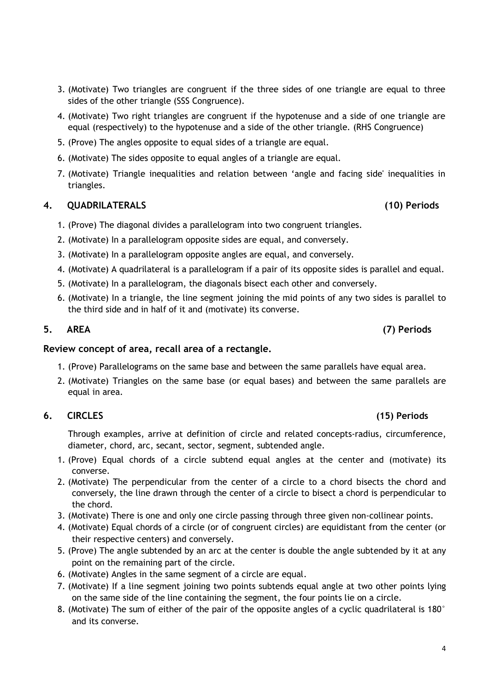- 3. (Motivate) Two triangles are congruent if the three sides of one triangle are equal to three sides of the other triangle (SSS Congruence).
- 4. (Motivate) Two right triangles are congruent if the hypotenuse and a side of one triangle are equal (respectively) to the hypotenuse and a side of the other triangle. (RHS Congruence)
- 5. (Prove) The angles opposite to equal sides of a triangle are equal.
- 6. (Motivate) The sides opposite to equal angles of a triangle are equal.
- 7. (Motivate) Triangle inequalities and relation between 'angle and facing side' inequalities in triangles.

## 4. QUADRILATERALS (10) Periods

- 1. (Prove) The diagonal divides a parallelogram into two congruent triangles.
- 2. (Motivate) In a parallelogram opposite sides are equal, and conversely.
- 3. (Motivate) In a parallelogram opposite angles are equal, and conversely.
- 4. (Motivate) A quadrilateral is a parallelogram if a pair of its opposite sides is parallel and equal.
- 5. (Motivate) In a parallelogram, the diagonals bisect each other and conversely.
- 6. (Motivate) In a triangle, the line segment joining the mid points of any two sides is parallel to the third side and in half of it and (motivate) its converse.

### 5. AREA (7) Periods

## Review concept of area, recall area of a rectangle.

- 1. (Prove) Parallelograms on the same base and between the same parallels have equal area.
- 2. (Motivate) Triangles on the same base (or equal bases) and between the same parallels are equal in area.

## 6. CIRCLES (15) Periods

Through examples, arrive at definition of circle and related concepts-radius, circumference, diameter, chord, arc, secant, sector, segment, subtended angle.

- 1. (Prove) Equal chords of a circle subtend equal angles at the center and (motivate) its converse.
- 2. (Motivate) The perpendicular from the center of a circle to a chord bisects the chord and conversely, the line drawn through the center of a circle to bisect a chord is perpendicular to the chord.
- 3. (Motivate) There is one and only one circle passing through three given non-collinear points.
- 4. (Motivate) Equal chords of a circle (or of congruent circles) are equidistant from the center (or their respective centers) and conversely.
- 5. (Prove) The angle subtended by an arc at the center is double the angle subtended by it at any point on the remaining part of the circle.
- 6. (Motivate) Angles in the same segment of a circle are equal.
- 7. (Motivate) If a line segment joining two points subtends equal angle at two other points lying on the same side of the line containing the segment, the four points lie on a circle.
- 8. (Motivate) The sum of either of the pair of the opposite angles of a cyclic quadrilateral is 180° and its converse.

### 4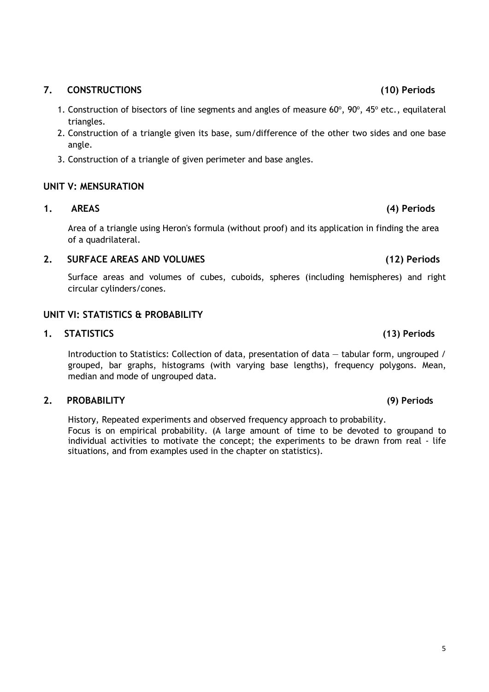# 7. CONSTRUCTIONS (10) Periods

- 1. Construction of bisectors of line segments and angles of measure  $60^{\circ}$ ,  $90^{\circ}$ ,  $45^{\circ}$  etc., equilateral triangles.
- 2. Construction of a triangle given its base, sum/difference of the other two sides and one base angle.
- 3. Construction of a triangle of given perimeter and base angles.

# UNIT V: MENSURATION

# 1. AREAS (4) Periods

Area of a triangle using Heron's formula (without proof) and its application in finding the area of a quadrilateral.

# 2. SURFACE AREAS AND VOLUMES (12) Periods

Surface areas and volumes of cubes, cuboids, spheres (including hemispheres) and right circular cylinders/cones.

# UNIT VI: STATISTICS & PROBABILITY

# 1. STATISTICS (13) Periods

Introduction to Statistics: Collection of data, presentation of data — tabular form, ungrouped / grouped, bar graphs, histograms (with varying base lengths), frequency polygons. Mean, median and mode of ungrouped data.

# 2. PROBABILITY (9) Periods

History, Repeated experiments and observed frequency approach to probability. Focus is on empirical probability. (A large amount of time to be devoted to groupand to individual activities to motivate the concept; the experiments to be drawn from real - life situations, and from examples used in the chapter on statistics).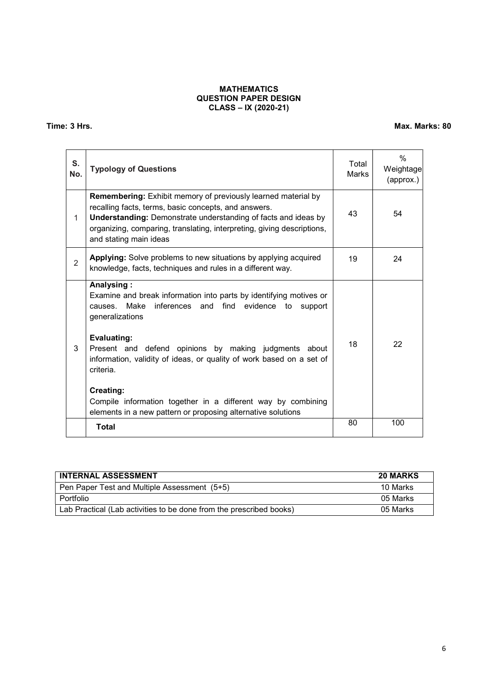### MATHEMATICS QUESTION PAPER DESIGN CLASS – IX (2020-21)

Time: 3 Hrs. Max. Marks: 80

| S.<br>No.      | <b>Typology of Questions</b>                                                                                                                                                                                                                                                                       | Total<br>Marks | $\frac{0}{0}$<br>Weightage<br>(approx.) |
|----------------|----------------------------------------------------------------------------------------------------------------------------------------------------------------------------------------------------------------------------------------------------------------------------------------------------|----------------|-----------------------------------------|
| 1              | Remembering: Exhibit memory of previously learned material by<br>recalling facts, terms, basic concepts, and answers.<br><b>Understanding:</b> Demonstrate understanding of facts and ideas by<br>organizing, comparing, translating, interpreting, giving descriptions,<br>and stating main ideas | 43             | 54                                      |
| $\overline{2}$ | Applying: Solve problems to new situations by applying acquired<br>knowledge, facts, techniques and rules in a different way.                                                                                                                                                                      | 19             | 24                                      |
|                | Analysing:<br>Examine and break information into parts by identifying motives or<br>Make<br>inferences and find evidence to<br>causes.<br>support<br>generalizations                                                                                                                               |                |                                         |
| 3              | Evaluating:<br>Present and defend opinions by making judgments about<br>information, validity of ideas, or quality of work based on a set of<br>criteria.                                                                                                                                          | 18             | 22                                      |
|                | <b>Creating:</b><br>Compile information together in a different way by combining<br>elements in a new pattern or proposing alternative solutions                                                                                                                                                   |                |                                         |
|                | <b>Total</b>                                                                                                                                                                                                                                                                                       | 80             | 100                                     |

| <b>INTERNAL ASSESSMENT</b>                                          | <b>20 MARKS</b> |
|---------------------------------------------------------------------|-----------------|
| Pen Paper Test and Multiple Assessment (5+5)                        | 10 Marks        |
| <sup>⊦</sup> Portfolio                                              | 05 Marks        |
| Lab Practical (Lab activities to be done from the prescribed books) | 05 Marks        |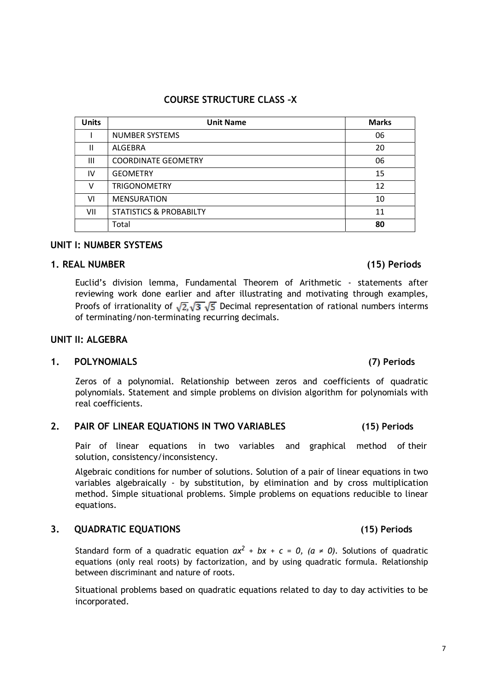# UNIT I: NUMBER SYSTEMS

# 1. REAL NUMBER (15) Periods

Euclid's division lemma, Fundamental Theorem of Arithmetic - statements after reviewing work done earlier and after illustrating and motivating through examples, Proofs of irrationality of  $\sqrt{2}$ ,  $\sqrt{3}$ ,  $\sqrt{5}$  Decimal representation of rational numbers interms of terminating/non-terminating recurring decimals.

# UNIT II: ALGEBRA

# 1. POLYNOMIALS (7) Periods

Zeros of a polynomial. Relationship between zeros and coefficients of quadratic polynomials. Statement and simple problems on division algorithm for polynomials with real coefficients.

# 2. PAIR OF LINEAR EQUATIONS IN TWO VARIABLES (15) Periods

Pair of linear equations in two variables and graphical method of their solution, consistency/inconsistency.

Algebraic conditions for number of solutions. Solution of a pair of linear equations in two variables algebraically - by substitution, by elimination and by cross multiplication method. Simple situational problems. Simple problems on equations reducible to linear equations.

# 3. QUADRATIC EQUATIONS (15) Periods

Standard form of a quadratic equation  $ax^2 + bx + c = 0$ ,  $(a \ne 0)$ . Solutions of quadratic equations (only real roots) by factorization, and by using quadratic formula. Relationship between discriminant and nature of roots.

Situational problems based on quadratic equations related to day to day activities to be incorporated.

COURSE STRUCTURE CLASS –X

| <b>Units</b> | <b>Unit Name</b>                   | <b>Marks</b> |
|--------------|------------------------------------|--------------|
|              | <b>NUMBER SYSTEMS</b>              | 06           |
| $\mathbf{H}$ | <b>ALGEBRA</b>                     | 20           |
| Ш            | <b>COORDINATE GEOMETRY</b>         | 06           |
| IV           | <b>GEOMETRY</b>                    | 15           |
| v            | <b>TRIGONOMETRY</b>                | 12           |
| VI           | <b>MENSURATION</b>                 | 10           |
| VII          | <b>STATISTICS &amp; PROBABILTY</b> | 11           |
|              | Total                              | 80           |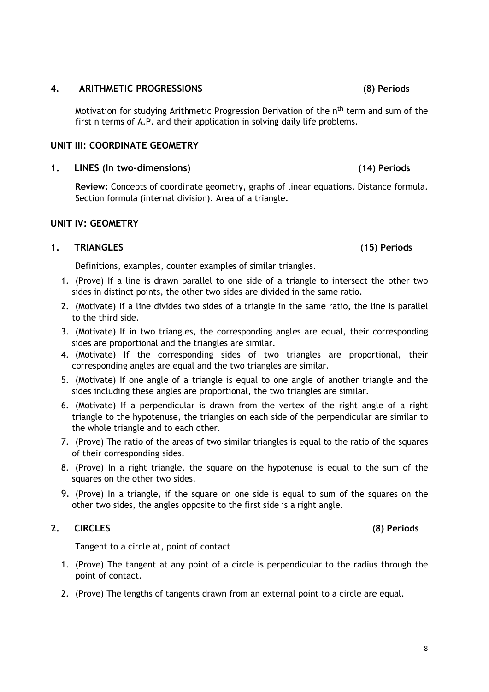## 4. ARITHMETIC PROGRESSIONS (8) Periods

Motivation for studying Arithmetic Progression Derivation of the n<sup>th</sup> term and sum of the first n terms of A.P. and their application in solving daily life problems.

### UNIT III: COORDINATE GEOMETRY

## 1. LINES (In two-dimensions) (14) Periods

Review: Concepts of coordinate geometry, graphs of linear equations. Distance formula. Section formula (internal division). Area of a triangle.

## UNIT IV: GEOMETRY

## 1. TRIANGLES (15) Periods

Definitions, examples, counter examples of similar triangles.

- 1. (Prove) If a line is drawn parallel to one side of a triangle to intersect the other two sides in distinct points, the other two sides are divided in the same ratio.
- 2. (Motivate) If a line divides two sides of a triangle in the same ratio, the line is parallel to the third side.
- 3. (Motivate) If in two triangles, the corresponding angles are equal, their corresponding sides are proportional and the triangles are similar.
- 4. (Motivate) If the corresponding sides of two triangles are proportional, their corresponding angles are equal and the two triangles are similar.
- 5. (Motivate) If one angle of a triangle is equal to one angle of another triangle and the sides including these angles are proportional, the two triangles are similar.
- 6. (Motivate) If a perpendicular is drawn from the vertex of the right angle of a right triangle to the hypotenuse, the triangles on each side of the perpendicular are similar to the whole triangle and to each other.
- 7. (Prove) The ratio of the areas of two similar triangles is equal to the ratio of the squares of their corresponding sides.
- 8. (Prove) In a right triangle, the square on the hypotenuse is equal to the sum of the squares on the other two sides.
- 9. (Prove) In a triangle, if the square on one side is equal to sum of the squares on the other two sides, the angles opposite to the first side is a right angle.

## 2. CIRCLES (8) Periods

Tangent to a circle at, point of contact

- 1. (Prove) The tangent at any point of a circle is perpendicular to the radius through the point of contact.
- 2. (Prove) The lengths of tangents drawn from an external point to a circle are equal.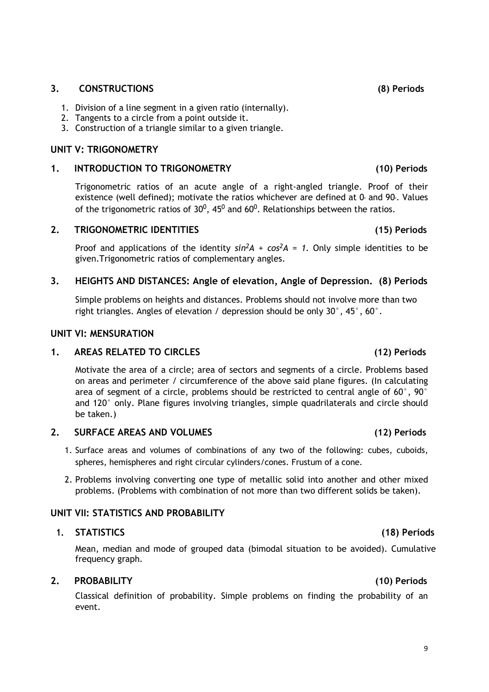### 3. CONSTRUCTIONS (8) Periods

- 1. Division of a line segment in a given ratio (internally).
- 2. Tangents to a circle from a point outside it.
- 3. Construction of a triangle similar to a given triangle.

### UNIT V: TRIGONOMETRY

### 1. INTRODUCTION TO TRIGONOMETRY (10) Periods

Trigonometric ratios of an acute angle of a right-angled triangle. Proof of their existence (well defined); motivate the ratios whichever are defined at  $0<sub>e</sub>$  and  $90<sub>e</sub>$ . Values of the trigonometric ratios of  $30^0$ , 45<sup>0</sup> and 60<sup>0</sup>. Relationships between the ratios.

### 2. TRIGONOMETRIC IDENTITIES (15) Periods

Proof and applications of the identity  $sin^2 A + cos^2 A = 1$ . Only simple identities to be given.Trigonometric ratios of complementary angles.

## 3. HEIGHTS AND DISTANCES: Angle of elevation, Angle of Depression. (8) Periods

Simple problems on heights and distances. Problems should not involve more than two right triangles. Angles of elevation / depression should be only 30°, 45°, 60°.

### UNIT VI: MENSURATION

## 1. AREAS RELATED TO CIRCLES (12) Periods

Motivate the area of a circle; area of sectors and segments of a circle. Problems based on areas and perimeter / circumference of the above said plane figures. (In calculating area of segment of a circle, problems should be restricted to central angle of  $60^{\circ}$ , 90 $^{\circ}$ and 120° only. Plane figures involving triangles, simple quadrilaterals and circle should be taken.)

## 2. SURFACE AREAS AND VOLUMES (12) Periods

- 1. Surface areas and volumes of combinations of any two of the following: cubes, cuboids, spheres, hemispheres and right circular cylinders/cones. Frustum of a cone.
- 2. Problems involving converting one type of metallic solid into another and other mixed problems. (Problems with combination of not more than two different solids be taken).

## UNIT VII: STATISTICS AND PROBABILITY

### 1. STATISTICS (18) Periods

Mean, median and mode of grouped data (bimodal situation to be avoided). Cumulative frequency graph.

## 2. PROBABILITY (10) Periods

Classical definition of probability. Simple problems on finding the probability of an event.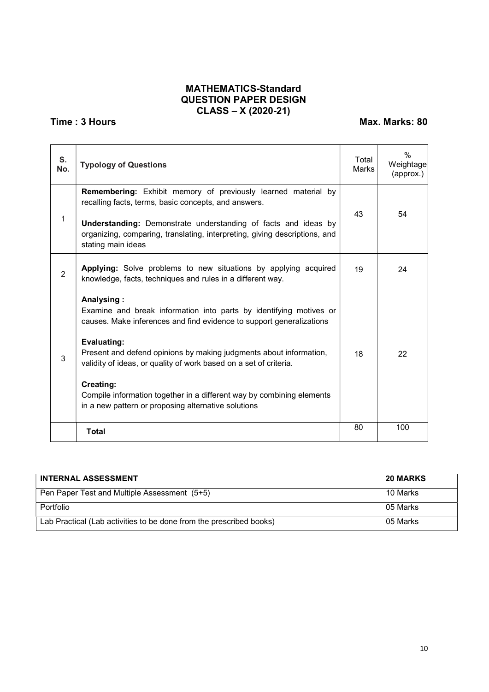## MATHEMATICS-Standard QUESTION PAPER DESIGN CLASS – X (2020-21)

# Time : 3 Hours Max. Marks: 80

| S.<br>No. | <b>Typology of Questions</b>                                                                                                                                                                                                                                                                                                                                                                                                                                                  | Total<br>Marks | $\frac{0}{0}$<br>Weightage<br>(approx.) |
|-----------|-------------------------------------------------------------------------------------------------------------------------------------------------------------------------------------------------------------------------------------------------------------------------------------------------------------------------------------------------------------------------------------------------------------------------------------------------------------------------------|----------------|-----------------------------------------|
| 1         | <b>Remembering:</b> Exhibit memory of previously learned material by<br>recalling facts, terms, basic concepts, and answers.<br><b>Understanding:</b> Demonstrate understanding of facts and ideas by<br>organizing, comparing, translating, interpreting, giving descriptions, and<br>stating main ideas                                                                                                                                                                     | 43             | 54                                      |
| 2         | <b>Applying:</b> Solve problems to new situations by applying acquired<br>knowledge, facts, techniques and rules in a different way.                                                                                                                                                                                                                                                                                                                                          | 19             | 24                                      |
| 3         | Analysing:<br>Examine and break information into parts by identifying motives or<br>causes. Make inferences and find evidence to support generalizations<br><b>Evaluating:</b><br>Present and defend opinions by making judgments about information,<br>validity of ideas, or quality of work based on a set of criteria.<br><b>Creating:</b><br>Compile information together in a different way by combining elements<br>in a new pattern or proposing alternative solutions | 18             | 22                                      |
|           | <b>Total</b>                                                                                                                                                                                                                                                                                                                                                                                                                                                                  | 80             | 100                                     |

| <b>INTERNAL ASSESSMENT</b>                                          | <b>20 MARKS</b> |
|---------------------------------------------------------------------|-----------------|
| Pen Paper Test and Multiple Assessment (5+5)                        | 10 Marks        |
| Portfolio                                                           | 05 Marks        |
| Lab Practical (Lab activities to be done from the prescribed books) | 05 Marks        |